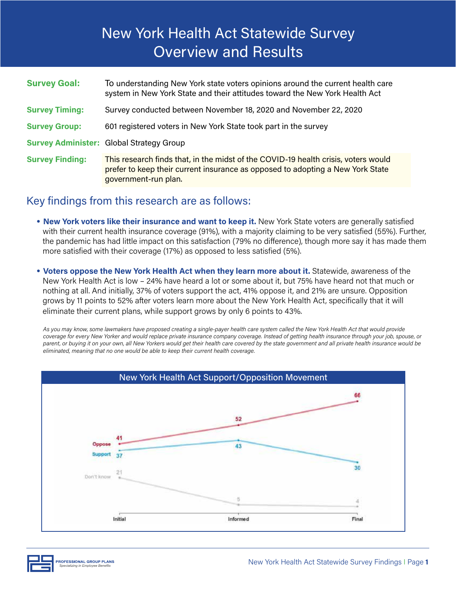# New York Health Act Statewide Survey Overview and Results

| <b>Survey Goal:</b>    | To understanding New York state voters opinions around the current health care<br>system in New York State and their attitudes toward the New York Health Act                                |
|------------------------|----------------------------------------------------------------------------------------------------------------------------------------------------------------------------------------------|
| <b>Survey Timing:</b>  | Survey conducted between November 18, 2020 and November 22, 2020                                                                                                                             |
| <b>Survey Group:</b>   | 601 registered voters in New York State took part in the survey                                                                                                                              |
|                        | <b>Survey Administer: Global Strategy Group</b>                                                                                                                                              |
| <b>Survey Finding:</b> | This research finds that, in the midst of the COVID-19 health crisis, voters would<br>prefer to keep their current insurance as opposed to adopting a New York State<br>government-run plan. |

### Key findings from this research are as follows:

- **New York voters like their insurance and want to keep it.** New York State voters are generally satisfied with their current health insurance coverage (91%), with a majority claiming to be very satisfied (55%). Further, the pandemic has had little impact on this satisfaction (79% no difference), though more say it has made them more satisfied with their coverage (17%) as opposed to less satisfied (5%).
- **Voters oppose the New York Health Act when they learn more about it.** Statewide, awareness of the New York Health Act is low – 24% have heard a lot or some about it, but 75% have heard not that much or nothing at all. And initially, 37% of voters support the act, 41% oppose it, and 21% are unsure. Opposition grows by 11 points to 52% after voters learn more about the New York Health Act, specifically that it will eliminate their current plans, while support grows by only 6 points to 43%.

*As you may know, some lawmakers have proposed creating a single-payer health care system called the New York Health Act that would provide coverage for every New Yorker and would replace private insurance company coverage. Instead of getting health insurance through your job, spouse, or parent, or buying it on your own, all New Yorkers would get their health care covered by the state government and all private health insurance would be eliminated, meaning that no one would be able to keep their current health coverage.*



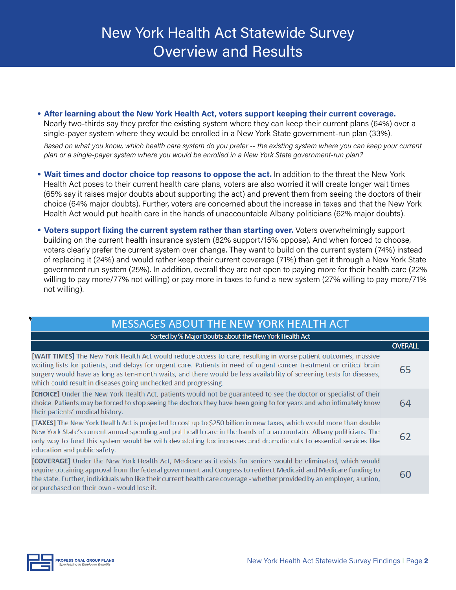• **After learning about the New York Health Act, voters support keeping their current coverage.** Nearly two-thirds say they prefer the existing system where they can keep their current plans (64%) over a single-payer system where they would be enrolled in a New York State government-run plan (33%).

*Based on what you know, which health care system do you prefer -- the existing system where you can keep your current plan or a single-payer system where you would be enrolled in a New York State government-run plan?*

- **Wait times and doctor choice top reasons to oppose the act.** In addition to the threat the New York Health Act poses to their current health care plans, voters are also worried it will create longer wait times (65% say it raises major doubts about supporting the act) and prevent them from seeing the doctors of their choice (64% major doubts). Further, voters are concerned about the increase in taxes and that the New York Health Act would put health care in the hands of unaccountable Albany politicians (62% major doubts).
- **Voters support fixing the current system rather than starting over.** Voters overwhelmingly support building on the current health insurance system (82% support/15% oppose). And when forced to choose, voters clearly prefer the current system over change. They want to build on the current system (74%) instead of replacing it (24%) and would rather keep their current coverage (71%) than get it through a New York State government run system (25%). In addition, overall they are not open to paying more for their health care (22% willing to pay more/77% not willing) or pay more in taxes to fund a new system (27% willing to pay more/71% not willing).

| <b>MESSAGES ABOUT THE NEW YORK HEALTH ACT</b>                                                                                                                                                                                                                                                                                                                                                                                      |                |  |  |
|------------------------------------------------------------------------------------------------------------------------------------------------------------------------------------------------------------------------------------------------------------------------------------------------------------------------------------------------------------------------------------------------------------------------------------|----------------|--|--|
| Sorted by % Major Doubts about the New York Health Act                                                                                                                                                                                                                                                                                                                                                                             |                |  |  |
|                                                                                                                                                                                                                                                                                                                                                                                                                                    | <b>OVERALL</b> |  |  |
| [WAIT TIMES] The New York Health Act would reduce access to care, resulting in worse patient outcomes, massive<br>waiting lists for patients, and delays for urgent care. Patients in need of urgent cancer treatment or critical brain<br>surgery would have as long as ten-month waits, and there would be less availability of screening tests for diseases,<br>which could result in diseases going unchecked and progressing. | 65             |  |  |
| [CHOICE] Under the New York Health Act, patients would not be guaranteed to see the doctor or specialist of their<br>choice. Patients may be forced to stop seeing the doctors they have been going to for years and who intimately know<br>their patients' medical history.                                                                                                                                                       |                |  |  |
| [TAXES] The New York Health Act is projected to cost up to \$250 billion in new taxes, which would more than double<br>New York State's current annual spending and put health care in the hands of unaccountable Albany politicians. The<br>only way to fund this system would be with devastating tax increases and dramatic cuts to essential services like<br>education and public safety.                                     | 62             |  |  |
| [COVERAGE] Under the New York Health Act, Medicare as it exists for seniors would be eliminated, which would<br>require obtaining approval from the federal government and Congress to redirect Medicaid and Medicare funding to<br>the state. Further, individuals who like their current health care coverage - whether provided by an employer, a union,<br>or purchased on their own - would lose it.                          | 60             |  |  |